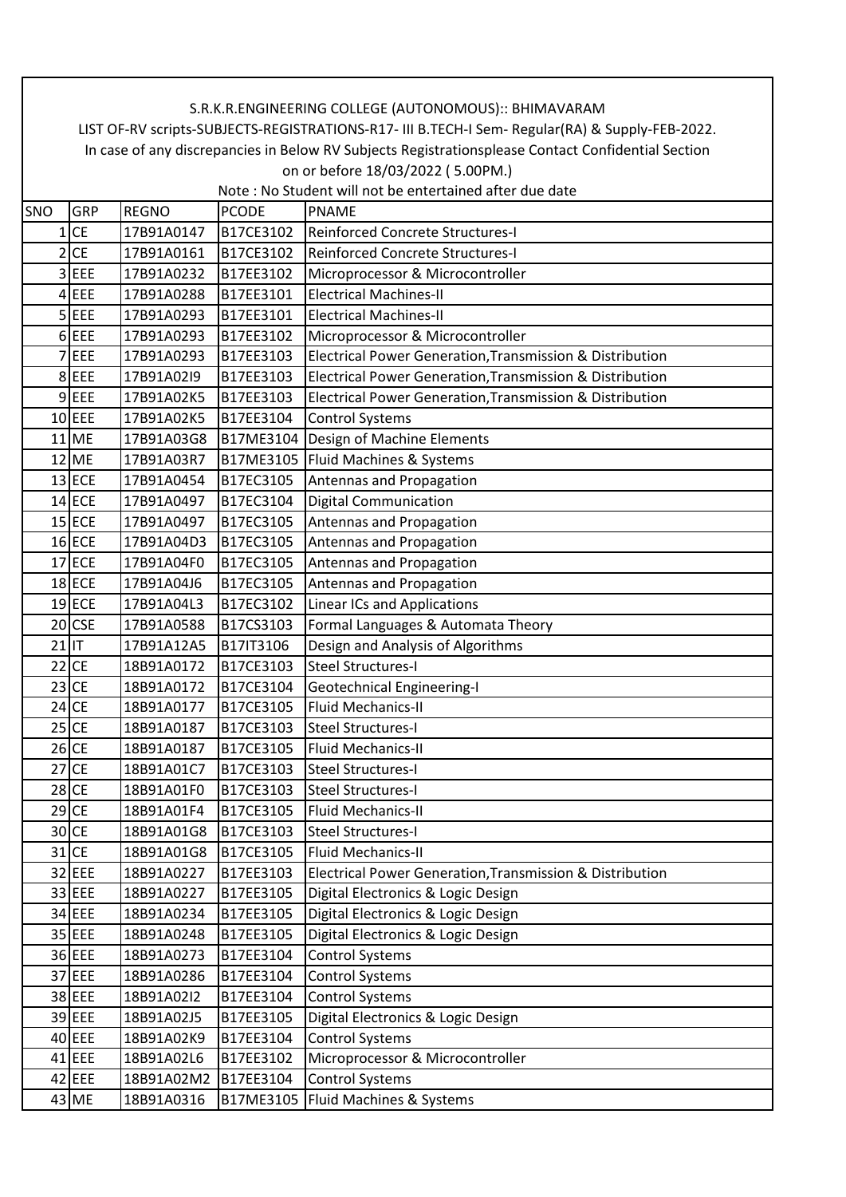|                                                                                                    | S.R.K.R.ENGINEERING COLLEGE (AUTONOMOUS):: BHIMAVARAM                                           |              |              |                                                          |  |  |  |  |  |  |
|----------------------------------------------------------------------------------------------------|-------------------------------------------------------------------------------------------------|--------------|--------------|----------------------------------------------------------|--|--|--|--|--|--|
|                                                                                                    | LIST OF-RV scripts-SUBJECTS-REGISTRATIONS-R17- III B.TECH-I Sem- Regular(RA) & Supply-FEB-2022. |              |              |                                                          |  |  |  |  |  |  |
| In case of any discrepancies in Below RV Subjects Registrationsplease Contact Confidential Section |                                                                                                 |              |              |                                                          |  |  |  |  |  |  |
| on or before 18/03/2022 (5.00PM.)                                                                  |                                                                                                 |              |              |                                                          |  |  |  |  |  |  |
|                                                                                                    | Note: No Student will not be entertained after due date                                         |              |              |                                                          |  |  |  |  |  |  |
| SNO                                                                                                | GRP                                                                                             | <b>REGNO</b> | <b>PCODE</b> | <b>PNAME</b>                                             |  |  |  |  |  |  |
| 1                                                                                                  | <b>CE</b>                                                                                       | 17B91A0147   | B17CE3102    | Reinforced Concrete Structures-I                         |  |  |  |  |  |  |
|                                                                                                    | $2$ CE                                                                                          | 17B91A0161   | B17CE3102    | Reinforced Concrete Structures-I                         |  |  |  |  |  |  |
|                                                                                                    | 3 EEE                                                                                           | 17B91A0232   | B17EE3102    | Microprocessor & Microcontroller                         |  |  |  |  |  |  |
|                                                                                                    | $4$ EEE                                                                                         | 17B91A0288   | B17EE3101    | <b>Electrical Machines-II</b>                            |  |  |  |  |  |  |
|                                                                                                    | $5$ EEE                                                                                         | 17B91A0293   | B17EE3101    | <b>Electrical Machines-II</b>                            |  |  |  |  |  |  |
|                                                                                                    | $6$ EEE                                                                                         | 17B91A0293   | B17EE3102    | Microprocessor & Microcontroller                         |  |  |  |  |  |  |
|                                                                                                    | $7$ EEE                                                                                         | 17B91A0293   | B17EE3103    | Electrical Power Generation, Transmission & Distribution |  |  |  |  |  |  |
|                                                                                                    | 8 EEE                                                                                           | 17B91A02I9   | B17EE3103    | Electrical Power Generation, Transmission & Distribution |  |  |  |  |  |  |
|                                                                                                    | $9$ EEE                                                                                         | 17B91A02K5   | B17EE3103    | Electrical Power Generation, Transmission & Distribution |  |  |  |  |  |  |
|                                                                                                    | $10$ EEE                                                                                        | 17B91A02K5   | B17EE3104    | <b>Control Systems</b>                                   |  |  |  |  |  |  |
|                                                                                                    | $11$ ME                                                                                         | 17B91A03G8   | B17ME3104    | Design of Machine Elements                               |  |  |  |  |  |  |
|                                                                                                    | $12$ ME                                                                                         | 17B91A03R7   | B17ME3105    | Fluid Machines & Systems                                 |  |  |  |  |  |  |
|                                                                                                    | $13$ ECE                                                                                        | 17B91A0454   | B17EC3105    | Antennas and Propagation                                 |  |  |  |  |  |  |
|                                                                                                    | $14$ ECE                                                                                        | 17B91A0497   | B17EC3104    | <b>Digital Communication</b>                             |  |  |  |  |  |  |
|                                                                                                    | $15$ ECE                                                                                        | 17B91A0497   | B17EC3105    | Antennas and Propagation                                 |  |  |  |  |  |  |
|                                                                                                    | $16$ ECE                                                                                        | 17B91A04D3   | B17EC3105    | Antennas and Propagation                                 |  |  |  |  |  |  |
|                                                                                                    | $17$ ECE                                                                                        | 17B91A04F0   | B17EC3105    | Antennas and Propagation                                 |  |  |  |  |  |  |
|                                                                                                    | $18$ ECE                                                                                        | 17B91A04J6   | B17EC3105    | Antennas and Propagation                                 |  |  |  |  |  |  |
|                                                                                                    | $19$ ECE                                                                                        | 17B91A04L3   | B17EC3102    | <b>Linear ICs and Applications</b>                       |  |  |  |  |  |  |
|                                                                                                    | $20$ CSE                                                                                        | 17B91A0588   | B17CS3103    | Formal Languages & Automata Theory                       |  |  |  |  |  |  |
| $21$ IT                                                                                            |                                                                                                 | 17B91A12A5   | B17IT3106    | Design and Analysis of Algorithms                        |  |  |  |  |  |  |
| $22$ CE                                                                                            |                                                                                                 | 18B91A0172   | B17CE3103    | <b>Steel Structures-I</b>                                |  |  |  |  |  |  |
|                                                                                                    | $23$ CE                                                                                         | 18B91A0172   | B17CE3104    | <b>Geotechnical Engineering-I</b>                        |  |  |  |  |  |  |
| $24$ CE                                                                                            |                                                                                                 | 18B91A0177   | B17CE3105    | <b>Fluid Mechanics-II</b>                                |  |  |  |  |  |  |
| $25$ CE                                                                                            |                                                                                                 | 18B91A0187   | B17CE3103    | <b>Steel Structures-I</b>                                |  |  |  |  |  |  |
|                                                                                                    | $26$ CE                                                                                         | 18B91A0187   | B17CE3105    | <b>Fluid Mechanics-II</b>                                |  |  |  |  |  |  |
|                                                                                                    | $27$ CE                                                                                         | 18B91A01C7   | B17CE3103    | <b>Steel Structures-I</b>                                |  |  |  |  |  |  |
|                                                                                                    | $28$ CE                                                                                         | 18B91A01F0   | B17CE3103    | <b>Steel Structures-I</b>                                |  |  |  |  |  |  |
|                                                                                                    | $29$ CE                                                                                         | 18B91A01F4   | B17CE3105    | Fluid Mechanics-II                                       |  |  |  |  |  |  |
|                                                                                                    | $30$ CE                                                                                         | 18B91A01G8   | B17CE3103    | Steel Structures-I                                       |  |  |  |  |  |  |
|                                                                                                    | $31$ CE                                                                                         | 18B91A01G8   | B17CE3105    | Fluid Mechanics-II                                       |  |  |  |  |  |  |
|                                                                                                    | 32 EEE                                                                                          | 18B91A0227   | B17EE3103    | Electrical Power Generation, Transmission & Distribution |  |  |  |  |  |  |
|                                                                                                    | 33 EEE                                                                                          | 18B91A0227   | B17EE3105    | Digital Electronics & Logic Design                       |  |  |  |  |  |  |
|                                                                                                    | 34 EEE                                                                                          | 18B91A0234   | B17EE3105    | Digital Electronics & Logic Design                       |  |  |  |  |  |  |
|                                                                                                    | 35 EEE                                                                                          | 18B91A0248   | B17EE3105    | Digital Electronics & Logic Design                       |  |  |  |  |  |  |
|                                                                                                    | 36 EEE                                                                                          | 18B91A0273   | B17EE3104    | <b>Control Systems</b>                                   |  |  |  |  |  |  |
|                                                                                                    | 37 EEE                                                                                          | 18B91A0286   | B17EE3104    | <b>Control Systems</b>                                   |  |  |  |  |  |  |
|                                                                                                    | 38 EEE                                                                                          | 18B91A02I2   | B17EE3104    | <b>Control Systems</b>                                   |  |  |  |  |  |  |
|                                                                                                    | 39 EEE                                                                                          | 18B91A02J5   | B17EE3105    | Digital Electronics & Logic Design                       |  |  |  |  |  |  |
|                                                                                                    | $40$ EEE                                                                                        | 18B91A02K9   | B17EE3104    | <b>Control Systems</b>                                   |  |  |  |  |  |  |
|                                                                                                    | 41 EEE                                                                                          | 18B91A02L6   | B17EE3102    | Microprocessor & Microcontroller                         |  |  |  |  |  |  |
|                                                                                                    | 42 EEE                                                                                          | 18B91A02M2   | B17EE3104    | <b>Control Systems</b>                                   |  |  |  |  |  |  |
|                                                                                                    | 43 ME                                                                                           | 18B91A0316   | B17ME3105    | Fluid Machines & Systems                                 |  |  |  |  |  |  |
|                                                                                                    |                                                                                                 |              |              |                                                          |  |  |  |  |  |  |

 $\Gamma$